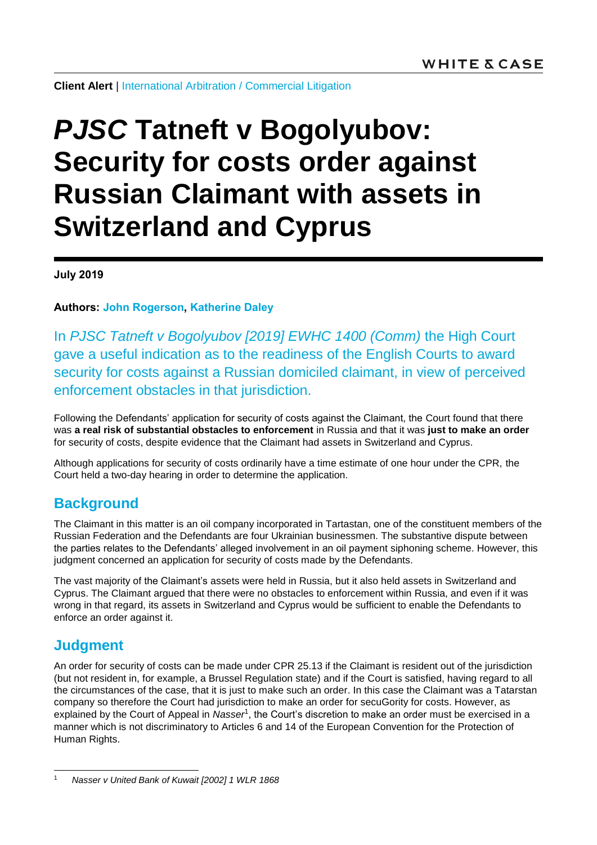**Client Alert** | [International Arbitration](https://www.whitecase.com/law/practices/international-arbitration) / [Commercial Litigation](https://www.whitecase.com/law/practices/commercial-litigation)

# *PJSC* **Tatneft v Bogolyubov: Security for costs order against Russian Claimant with assets in Switzerland and Cyprus**

**July 2019**

**Authors: [John Rogerson,](https://www.whitecase.com/people/john-rogerson) [Katherine Daley](https://www.whitecase.com/people/katherine-daley)**

In *[PJSC Tatneft v Bogolyubov \[2019\] EWHC 1400 \(Comm\)](https://www.bailii.org/ew/cases/EWHC/Comm/2019/1400.html)* the High Court gave a useful indication as to the readiness of the English Courts to award security for costs against a Russian domiciled claimant, in view of perceived enforcement obstacles in that jurisdiction.

Following the Defendants' application for security of costs against the Claimant, the Court found that there was **a real risk of substantial obstacles to enforcement** in Russia and that it was **just to make an order** for security of costs, despite evidence that the Claimant had assets in Switzerland and Cyprus.

Although applications for security of costs ordinarily have a time estimate of one hour under the CPR, the Court held a two-day hearing in order to determine the application.

# **Background**

The Claimant in this matter is an oil company incorporated in Tartastan, one of the constituent members of the Russian Federation and the Defendants are four Ukrainian businessmen. The substantive dispute between the parties relates to the Defendants' alleged involvement in an oil payment siphoning scheme. However, this judgment concerned an application for security of costs made by the Defendants.

The vast majority of the Claimant's assets were held in Russia, but it also held assets in Switzerland and Cyprus. The Claimant argued that there were no obstacles to enforcement within Russia, and even if it was wrong in that regard, its assets in Switzerland and Cyprus would be sufficient to enable the Defendants to enforce an order against it.

# **Judgment**

An order for security of costs can be made under CPR 25.13 if the Claimant is resident out of the jurisdiction (but not resident in, for example, a Brussel Regulation state) and if the Court is satisfied, having regard to all the circumstances of the case, that it is just to make such an order. In this case the Claimant was a Tatarstan company so therefore the Court had jurisdiction to make an order for secuGority for costs. However, as explained by the Court of Appeal in *Nasser<sup>1</sup>*, the Court's discretion to make an order must be exercised in a manner which is not discriminatory to Articles 6 and 14 of the European Convention for the Protection of Human Rights.

 $\overline{1}$ <sup>1</sup> *Nasser v United Bank of Kuwait [2002] 1 WLR 1868*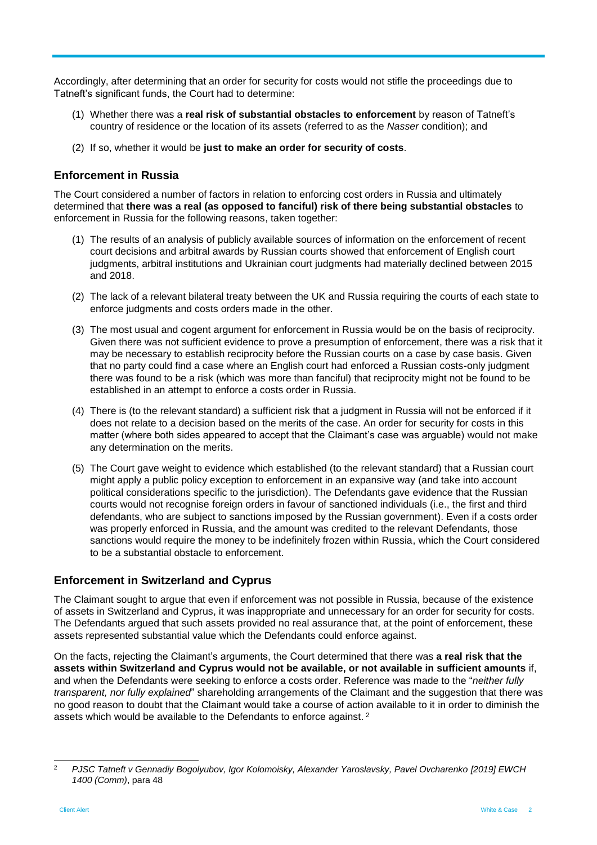Accordingly, after determining that an order for security for costs would not stifle the proceedings due to Tatneft's significant funds, the Court had to determine:

- (1) Whether there was a **real risk of substantial obstacles to enforcement** by reason of Tatneft's country of residence or the location of its assets (referred to as the *Nasser* condition); and
- (2) If so, whether it would be **just to make an order for security of costs**.

## **Enforcement in Russia**

The Court considered a number of factors in relation to enforcing cost orders in Russia and ultimately determined that **there was a real (as opposed to fanciful) risk of there being substantial obstacles** to enforcement in Russia for the following reasons, taken together:

- (1) The results of an analysis of publicly available sources of information on the enforcement of recent court decisions and arbitral awards by Russian courts showed that enforcement of English court judgments, arbitral institutions and Ukrainian court judgments had materially declined between 2015 and 2018.
- (2) The lack of a relevant bilateral treaty between the UK and Russia requiring the courts of each state to enforce judgments and costs orders made in the other.
- (3) The most usual and cogent argument for enforcement in Russia would be on the basis of reciprocity. Given there was not sufficient evidence to prove a presumption of enforcement, there was a risk that it may be necessary to establish reciprocity before the Russian courts on a case by case basis. Given that no party could find a case where an English court had enforced a Russian costs-only judgment there was found to be a risk (which was more than fanciful) that reciprocity might not be found to be established in an attempt to enforce a costs order in Russia.
- (4) There is (to the relevant standard) a sufficient risk that a judgment in Russia will not be enforced if it does not relate to a decision based on the merits of the case. An order for security for costs in this matter (where both sides appeared to accept that the Claimant's case was arguable) would not make any determination on the merits.
- (5) The Court gave weight to evidence which established (to the relevant standard) that a Russian court might apply a public policy exception to enforcement in an expansive way (and take into account political considerations specific to the jurisdiction). The Defendants gave evidence that the Russian courts would not recognise foreign orders in favour of sanctioned individuals (i.e., the first and third defendants, who are subject to sanctions imposed by the Russian government). Even if a costs order was properly enforced in Russia, and the amount was credited to the relevant Defendants, those sanctions would require the money to be indefinitely frozen within Russia, which the Court considered to be a substantial obstacle to enforcement.

### **Enforcement in Switzerland and Cyprus**

The Claimant sought to argue that even if enforcement was not possible in Russia, because of the existence of assets in Switzerland and Cyprus, it was inappropriate and unnecessary for an order for security for costs. The Defendants argued that such assets provided no real assurance that, at the point of enforcement, these assets represented substantial value which the Defendants could enforce against.

On the facts, rejecting the Claimant's arguments, the Court determined that there was **a real risk that the assets within Switzerland and Cyprus would not be available, or not available in sufficient amounts** if, and when the Defendants were seeking to enforce a costs order. Reference was made to the "*neither fully transparent, nor fully explained*" shareholding arrangements of the Claimant and the suggestion that there was no good reason to doubt that the Claimant would take a course of action available to it in order to diminish the assets which would be available to the Defendants to enforce against.<sup>2</sup>

 $\overline{2}$ <sup>2</sup> *PJSC Tatneft v Gennadiy Bogolyubov, Igor Kolomoisky, Alexander Yaroslavsky, Pavel Ovcharenko [2019] EWCH 1400 (Comm)*, para 48